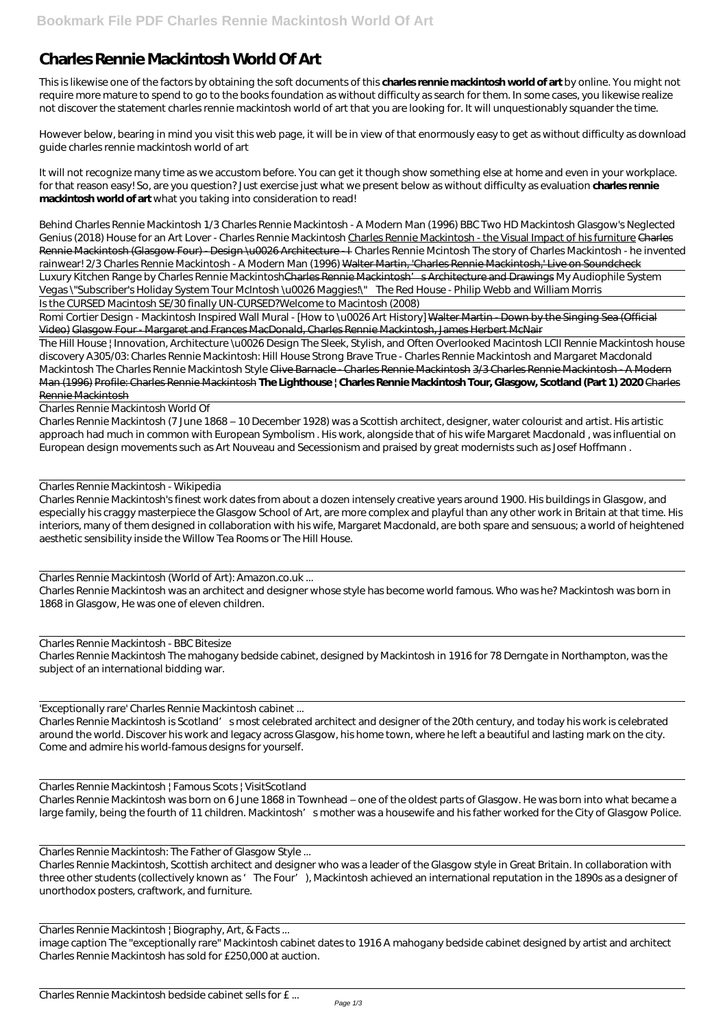## **Charles Rennie Mackintosh World Of Art**

This is likewise one of the factors by obtaining the soft documents of this **charles rennie mackintosh world of art** by online. You might not require more mature to spend to go to the books foundation as without difficulty as search for them. In some cases, you likewise realize not discover the statement charles rennie mackintosh world of art that you are looking for. It will unquestionably squander the time.

However below, bearing in mind you visit this web page, it will be in view of that enormously easy to get as without difficulty as download guide charles rennie mackintosh world of art

It will not recognize many time as we accustom before. You can get it though show something else at home and even in your workplace. for that reason easy! So, are you question? Just exercise just what we present below as without difficulty as evaluation **charles rennie mackintosh world of art** what you taking into consideration to read!

Luxury Kitchen Range by Charles Rennie Mackintosh<del>Charles Rennie Mackintosh' s Architecture and Drawings</del> My Audiophile System Vegas \"Subscriber's Holiday System Tour McIntosh \u0026 Maggies!\" *The Red House - Philip Webb and William Morris*

Romi Cortier Design - Mackintosh Inspired Wall Mural - [How to \u0026 Art History] Walter Martin - Down by the Singing Sea (Official Video) Glasgow Four - Margaret and Frances MacDonald, Charles Rennie Mackintosh, James Herbert McNair

*Behind Charles Rennie Mackintosh 1/3 Charles Rennie Mackintosh - A Modern Man (1996) BBC Two HD Mackintosh Glasgow's Neglected Genius (2018)* House for an Art Lover - Charles Rennie Mackintosh Charles Rennie Mackintosh - the Visual Impact of his furniture Charles Rennie Mackintosh (Glasgow Four) - Design \u0026 Architecture - *L* Charles Rennie Mcintosh The story of Charles Mackintosh - he invented *rainwear! 2/3 Charles Rennie Mackintosh - A Modern Man (1996)* Walter Martin, 'Charles Rennie Mackintosh,' Live on Soundcheck

Is the CURSED Macintosh SE/30 finally UN-CURSED?*Welcome to Macintosh (2008)*

Charles Rennie Mackintosh is Scotland' smost celebrated architect and designer of the 20th century, and today his work is celebrated around the world. Discover his work and legacy across Glasgow, his home town, where he left a beautiful and lasting mark on the city. Come and admire his world-famous designs for yourself.

Charles Rennie Mackintosh | Famous Scots | VisitScotland Charles Rennie Mackintosh was born on 6 June 1868 in Townhead – one of the oldest parts of Glasgow. He was born into what became a large family, being the fourth of 11 children. Mackintosh' smother was a housewife and his father worked for the City of Glasgow Police.

The Hill House | Innovation, Architecture \u0026 Design *The Sleek, Stylish, and Often Overlooked Macintosh LCII Rennie Mackintosh house discovery* A305/03: Charles Rennie Mackintosh: Hill House *Strong Brave True - Charles Rennie Mackintosh and Margaret Macdonald Mackintosh The Charles Rennie Mackintosh Style* Clive Barnacle - Charles Rennie Mackintosh 3/3 Charles Rennie Mackintosh - A Modern Man (1996) Profile: Charles Rennie Mackintosh **The Lighthouse | Charles Rennie Mackintosh Tour, Glasgow, Scotland (Part 1) 2020** Charles Rennie Mackintosh

Charles Rennie Mackintosh World Of

Charles Rennie Mackintosh (7 June 1868 – 10 December 1928) was a Scottish architect, designer, water colourist and artist. His artistic approach had much in common with European Symbolism . His work, alongside that of his wife Margaret Macdonald , was influential on European design movements such as Art Nouveau and Secessionism and praised by great modernists such as Josef Hoffmann .

Charles Rennie Mackintosh - Wikipedia

Charles Rennie Mackintosh's finest work dates from about a dozen intensely creative years around 1900. His buildings in Glasgow, and especially his craggy masterpiece the Glasgow School of Art, are more complex and playful than any other work in Britain at that time. His interiors, many of them designed in collaboration with his wife, Margaret Macdonald, are both spare and sensuous; a world of heightened aesthetic sensibility inside the Willow Tea Rooms or The Hill House.

Charles Rennie Mackintosh (World of Art): Amazon.co.uk ...

Charles Rennie Mackintosh was an architect and designer whose style has become world famous. Who was he? Mackintosh was born in 1868 in Glasgow, He was one of eleven children.

Charles Rennie Mackintosh - BBC Bitesize

Charles Rennie Mackintosh The mahogany bedside cabinet, designed by Mackintosh in 1916 for 78 Derngate in Northampton, was the subject of an international bidding war.

'Exceptionally rare' Charles Rennie Mackintosh cabinet ...

Charles Rennie Mackintosh: The Father of Glasgow Style ...

Charles Rennie Mackintosh, Scottish architect and designer who was a leader of the Glasgow style in Great Britain. In collaboration with three other students (collectively known as 'The Four'), Mackintosh achieved an international reputation in the 1890s as a designer of unorthodox posters, craftwork, and furniture.

Charles Rennie Mackintosh | Biography, Art, & Facts ...

image caption The "exceptionally rare" Mackintosh cabinet dates to 1916 A mahogany bedside cabinet designed by artist and architect Charles Rennie Mackintosh has sold for £250,000 at auction.

Charles Rennie Mackintosh bedside cabinet sells for £ ...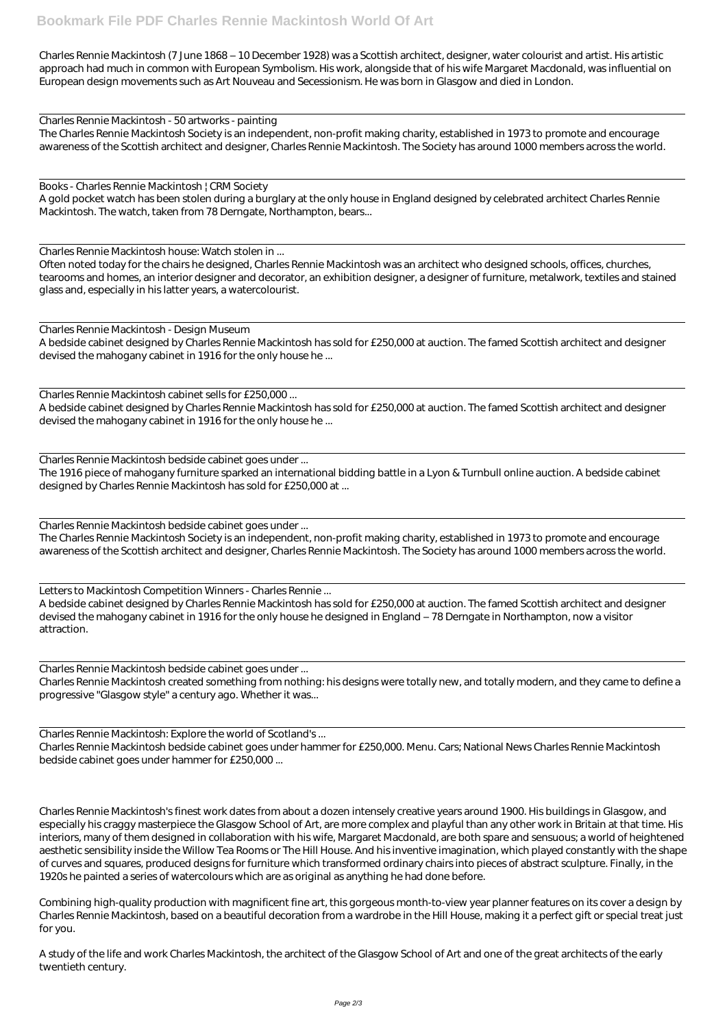Charles Rennie Mackintosh (7 June 1868 – 10 December 1928) was a Scottish architect, designer, water colourist and artist. His artistic approach had much in common with European Symbolism. His work, alongside that of his wife Margaret Macdonald, was influential on European design movements such as Art Nouveau and Secessionism. He was born in Glasgow and died in London.

Charles Rennie Mackintosh - 50 artworks - painting

The Charles Rennie Mackintosh Society is an independent, non-profit making charity, established in 1973 to promote and encourage awareness of the Scottish architect and designer, Charles Rennie Mackintosh. The Society has around 1000 members across the world.

Books - Charles Rennie Mackintosh | CRM Society

A gold pocket watch has been stolen during a burglary at the only house in England designed by celebrated architect Charles Rennie Mackintosh. The watch, taken from 78 Derngate, Northampton, bears...

Charles Rennie Mackintosh house: Watch stolen in ...

Often noted today for the chairs he designed, Charles Rennie Mackintosh was an architect who designed schools, offices, churches, tearooms and homes, an interior designer and decorator, an exhibition designer, a designer of furniture, metalwork, textiles and stained glass and, especially in his latter years, a watercolourist.

Charles Rennie Mackintosh - Design Museum

A bedside cabinet designed by Charles Rennie Mackintosh has sold for £250,000 at auction. The famed Scottish architect and designer devised the mahogany cabinet in 1916 for the only house he ...

Charles Rennie Mackintosh cabinet sells for £250,000 ...

A bedside cabinet designed by Charles Rennie Mackintosh has sold for £250,000 at auction. The famed Scottish architect and designer devised the mahogany cabinet in 1916 for the only house he ...

Charles Rennie Mackintosh bedside cabinet goes under ...

The 1916 piece of mahogany furniture sparked an international bidding battle in a Lyon & Turnbull online auction. A bedside cabinet designed by Charles Rennie Mackintosh has sold for £250,000 at ...

Charles Rennie Mackintosh bedside cabinet goes under ...

The Charles Rennie Mackintosh Society is an independent, non-profit making charity, established in 1973 to promote and encourage awareness of the Scottish architect and designer, Charles Rennie Mackintosh. The Society has around 1000 members across the world.

Letters to Mackintosh Competition Winners - Charles Rennie ...

A bedside cabinet designed by Charles Rennie Mackintosh has sold for £250,000 at auction. The famed Scottish architect and designer devised the mahogany cabinet in 1916 for the only house he designed in England – 78 Derngate in Northampton, now a visitor attraction.

Charles Rennie Mackintosh bedside cabinet goes under ...

Charles Rennie Mackintosh created something from nothing: his designs were totally new, and totally modern, and they came to define a progressive "Glasgow style" a century ago. Whether it was...

Charles Rennie Mackintosh: Explore the world of Scotland's ...

Charles Rennie Mackintosh bedside cabinet goes under hammer for £250,000. Menu. Cars; National News Charles Rennie Mackintosh bedside cabinet goes under hammer for £250,000 ...

Charles Rennie Mackintosh's finest work dates from about a dozen intensely creative years around 1900. His buildings in Glasgow, and especially his craggy masterpiece the Glasgow School of Art, are more complex and playful than any other work in Britain at that time. His interiors, many of them designed in collaboration with his wife, Margaret Macdonald, are both spare and sensuous; a world of heightened aesthetic sensibility inside the Willow Tea Rooms or The Hill House. And his inventive imagination, which played constantly with the shape of curves and squares, produced designs for furniture which transformed ordinary chairs into pieces of abstract sculpture. Finally, in the 1920s he painted a series of watercolours which are as original as anything he had done before.

Combining high-quality production with magnificent fine art, this gorgeous month-to-view year planner features on its cover a design by Charles Rennie Mackintosh, based on a beautiful decoration from a wardrobe in the Hill House, making it a perfect gift or special treat just for you.

A study of the life and work Charles Mackintosh, the architect of the Glasgow School of Art and one of the great architects of the early twentieth century.